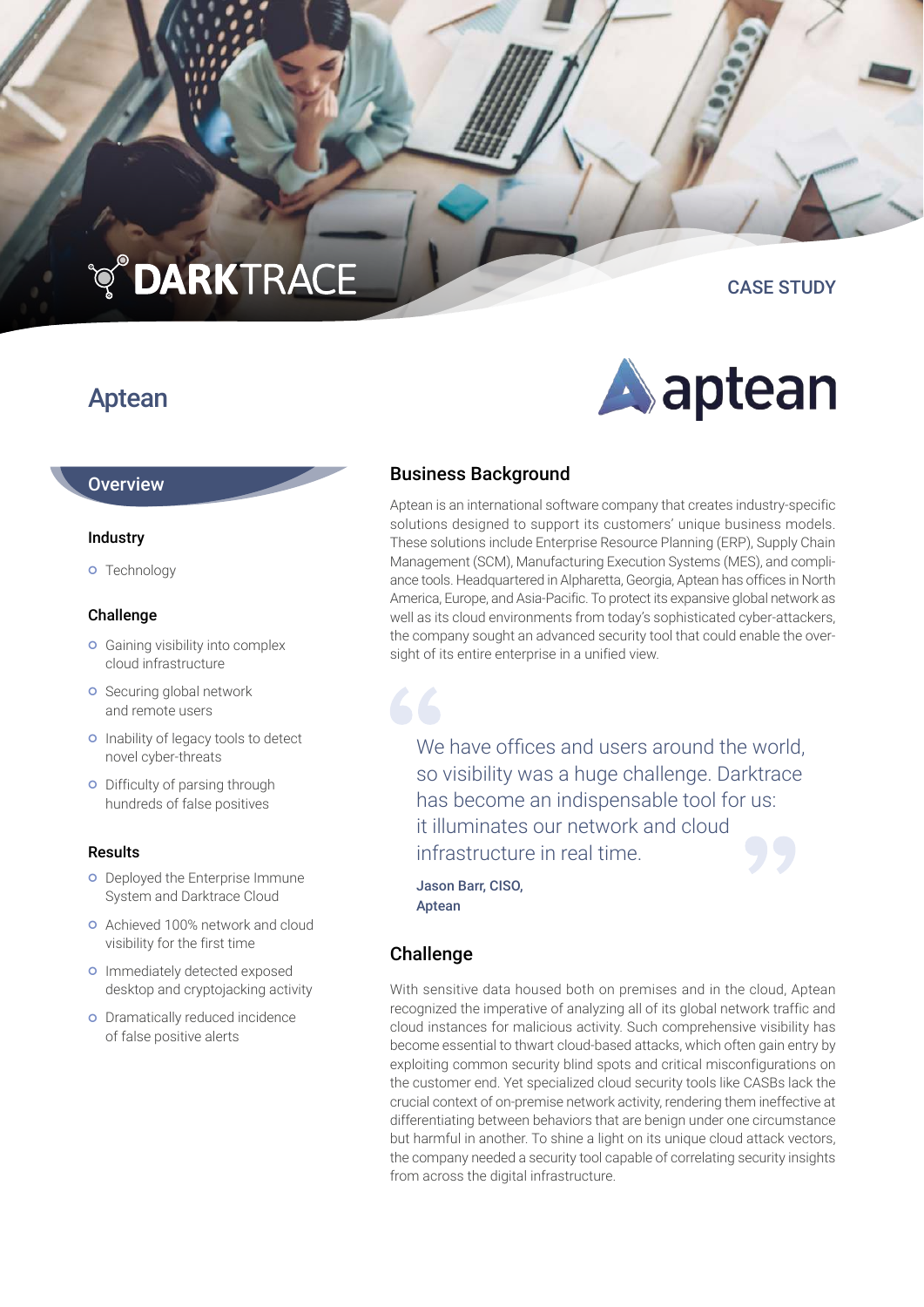## **TO DARKTRACE**

CASE STUDY

### Aptean

# Aaptean

#### **Overview**

#### Industry

**o** Technology

#### Challenge

- **o** Gaining visibility into complex cloud infrastructure
- **o** Securing global network and remote users
- o Inability of legacy tools to detect novel cyber-threats
- **o** Difficulty of parsing through hundreds of false positives

#### Results

- **o** Deployed the Enterprise Immune System and Darktrace Cloud
- Achieved 100% network and cloud visibility for the first time
- **o** Immediately detected exposed desktop and cryptojacking activity
- **o** Dramatically reduced incidence of false positive alerts

#### Business Background

Aptean is an international software company that creates industry-specific solutions designed to support its customers' unique business models. These solutions include Enterprise Resource Planning (ERP), Supply Chain Management (SCM), Manufacturing Execution Systems (MES), and compliance tools. Headquartered in Alpharetta, Georgia, Aptean has offices in North America, Europe, and Asia-Pacific. To protect its expansive global network as well as its cloud environments from today's sophisticated cyber-attackers, the company sought an advanced security tool that could enable the oversight of its entire enterprise in a unified view.

We have offices and users around the world. so visibility was a huge challenge. Darktrace has become an indispensable tool for us: it illuminates our network and cloud infrastructure in real time.

Jason Barr, CISO, Aptean

#### Challenge

With sensitive data housed both on premises and in the cloud, Aptean recognized the imperative of analyzing all of its global network traffic and cloud instances for malicious activity. Such comprehensive visibility has become essential to thwart cloud-based attacks, which often gain entry by exploiting common security blind spots and critical misconfigurations on the customer end. Yet specialized cloud security tools like CASBs lack the crucial context of on-premise network activity, rendering them ineffective at differentiating between behaviors that are benign under one circumstance but harmful in another. To shine a light on its unique cloud attack vectors, the company needed a security tool capable of correlating security insights from across the digital infrastructure.